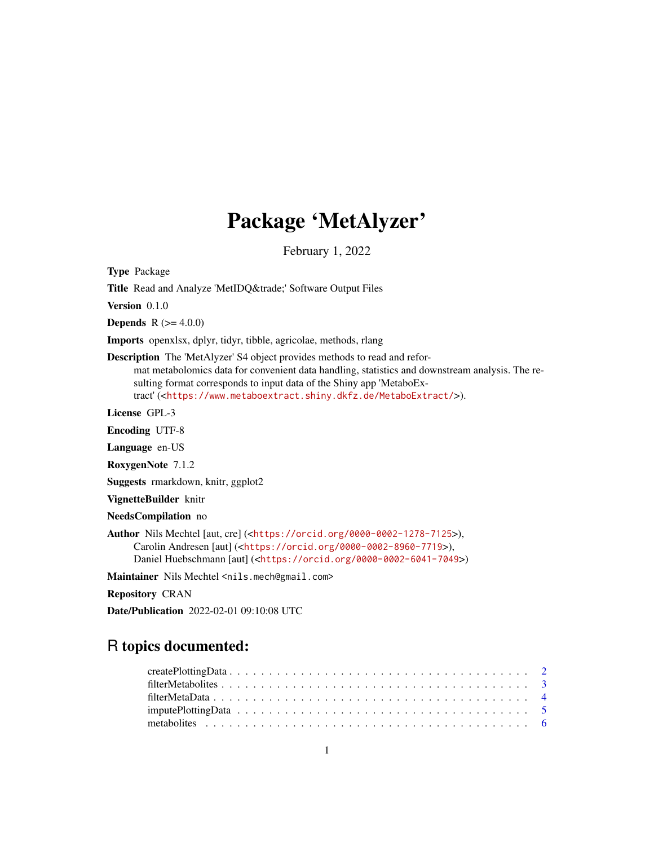# Package 'MetAlyzer'

February 1, 2022

Type Package

Title Read and Analyze 'MetIDQ™' Software Output Files

Version 0.1.0

**Depends**  $R (= 4.0.0)$ 

Imports openxlsx, dplyr, tidyr, tibble, agricolae, methods, rlang

Description The 'MetAlyzer' S4 object provides methods to read and reformat metabolomics data for convenient data handling, statistics and downstream analysis. The resulting format corresponds to input data of the Shiny app 'MetaboExtract' (<<https://www.metaboextract.shiny.dkfz.de/MetaboExtract/>>).

License GPL-3

Encoding UTF-8

Language en-US

RoxygenNote 7.1.2

Suggests rmarkdown, knitr, ggplot2

VignetteBuilder knitr

NeedsCompilation no

Author Nils Mechtel [aut, cre] (<<https://orcid.org/0000-0002-1278-7125>>), Carolin Andresen [aut] (<<https://orcid.org/0000-0002-8960-7719>>), Daniel Huebschmann [aut] (<<https://orcid.org/0000-0002-6041-7049>>)

Maintainer Nils Mechtel <nils.mech@gmail.com>

Repository CRAN

Date/Publication 2022-02-01 09:10:08 UTC

# R topics documented: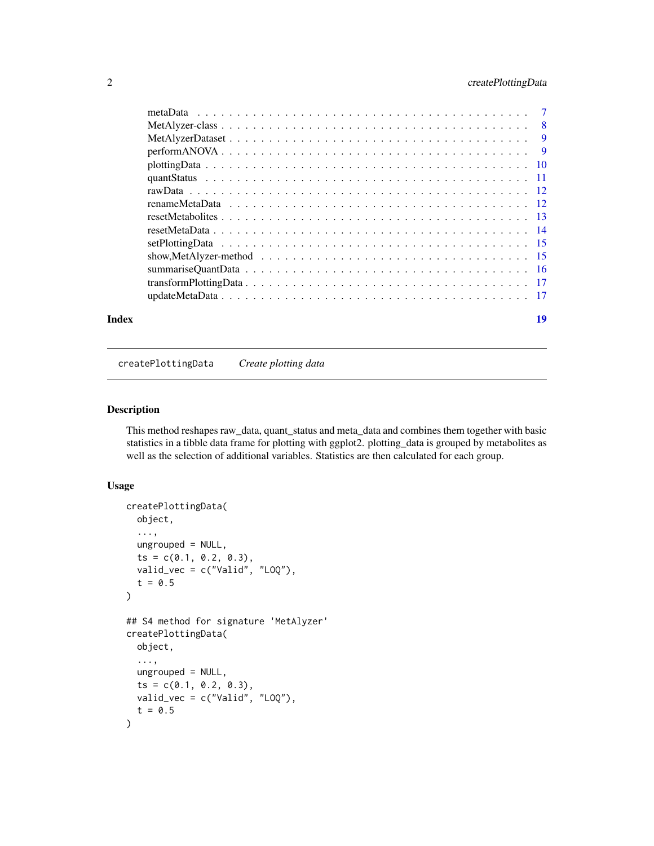# <span id="page-1-0"></span>2 createPlottingData

| Index | 19 |
|-------|----|
|       |    |
|       |    |
|       |    |
|       |    |
|       |    |
|       |    |
|       |    |
|       |    |
|       |    |
|       |    |
|       |    |
|       |    |
|       |    |
|       |    |
|       |    |

createPlottingData *Create plotting data*

# Description

This method reshapes raw\_data, quant\_status and meta\_data and combines them together with basic statistics in a tibble data frame for plotting with ggplot2. plotting\_data is grouped by metabolites as well as the selection of additional variables. Statistics are then calculated for each group.

```
createPlottingData(
 object,
  ...,
 ungrouped = NULL,
  ts = c(0.1, 0.2, 0.3),
 valid_vec = c("Valid", "LOQ"),
  t = 0.5)
## S4 method for signature 'MetAlyzer'
createPlottingData(
 object,
  ...,
 ungrouped = NULL,
  ts = c(0.1, 0.2, 0.3),
 valid_vec = c("Valid", "LOQ"),
  t = 0.5\mathcal{E}
```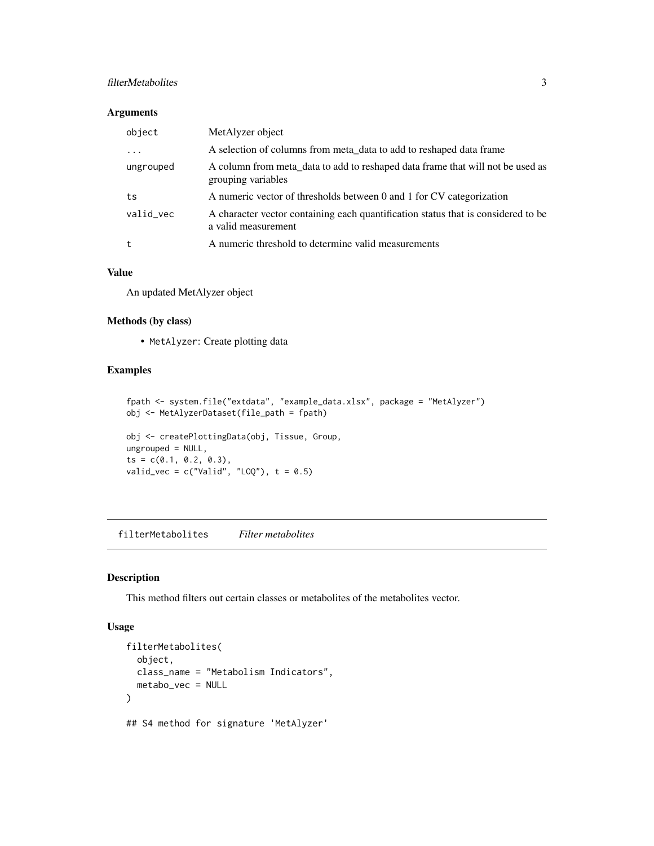# <span id="page-2-0"></span>filterMetabolites 3

#### Arguments

| object    | MetAlyzer object                                                                                         |
|-----------|----------------------------------------------------------------------------------------------------------|
| .         | A selection of columns from meta_data to add to reshaped data frame                                      |
| ungrouped | A column from meta_data to add to reshaped data frame that will not be used as<br>grouping variables     |
| ts        | A numeric vector of thresholds between 0 and 1 for CV categorization                                     |
| valid_vec | A character vector containing each quantification status that is considered to be<br>a valid measurement |
| t         | A numeric threshold to determine valid measurements                                                      |

#### Value

An updated MetAlyzer object

#### Methods (by class)

• MetAlyzer: Create plotting data

# Examples

```
fpath <- system.file("extdata", "example_data.xlsx", package = "MetAlyzer")
obj <- MetAlyzerDataset(file_path = fpath)
obj <- createPlottingData(obj, Tissue, Group,
ungrouped = NULL,
ts = c(0.1, 0.2, 0.3),
valid_vec = c("Valid", "L0Q"), t = 0.5)
```
filterMetabolites *Filter metabolites*

#### Description

This method filters out certain classes or metabolites of the metabolites vector.

```
filterMetabolites(
 object,
 class_name = "Metabolism Indicators",
 metabo_vec = NULL
)
## S4 method for signature 'MetAlyzer'
```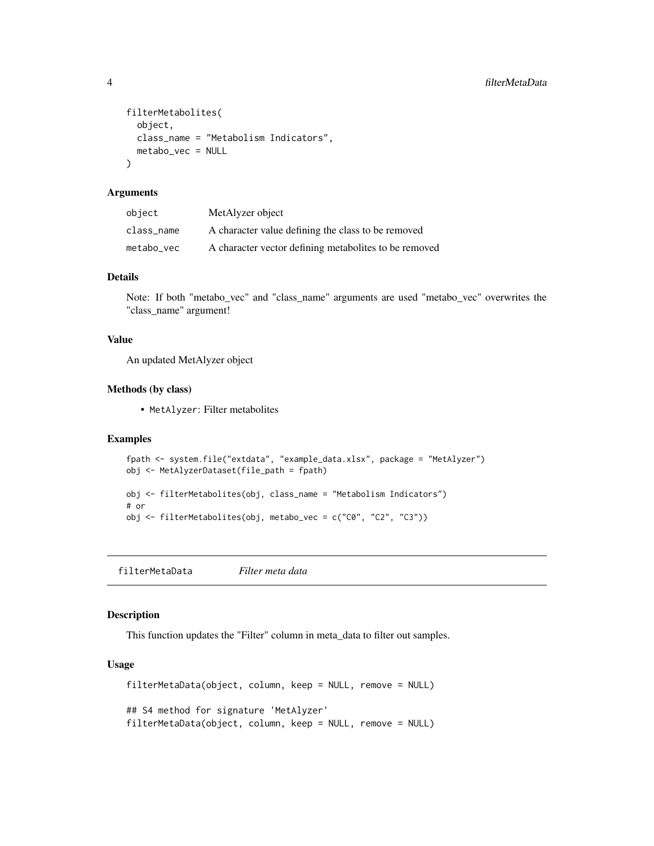```
filterMetabolites(
 object,
 class_name = "Metabolism Indicators",
 metabo_vec = NULL
)
```
# Arguments

| object     | MetAlyzer object                                      |
|------------|-------------------------------------------------------|
| class name | A character value defining the class to be removed    |
| metabo vec | A character vector defining metabolites to be removed |

# Details

Note: If both "metabo\_vec" and "class\_name" arguments are used "metabo\_vec" overwrites the "class\_name" argument!

#### Value

An updated MetAlyzer object

# Methods (by class)

• MetAlyzer: Filter metabolites

# Examples

```
fpath <- system.file("extdata", "example_data.xlsx", package = "MetAlyzer")
obj <- MetAlyzerDataset(file_path = fpath)
obj <- filterMetabolites(obj, class_name = "Metabolism Indicators")
# or
obj <- filterMetabolites(obj, metabo_vec = c("C0", "C2", "C3"))
```
filterMetaData *Filter meta data*

#### Description

This function updates the "Filter" column in meta\_data to filter out samples.

```
filterMetaData(object, column, keep = NULL, remove = NULL)
## S4 method for signature 'MetAlyzer'
filterMetaData(object, column, keep = NULL, remove = NULL)
```
<span id="page-3-0"></span>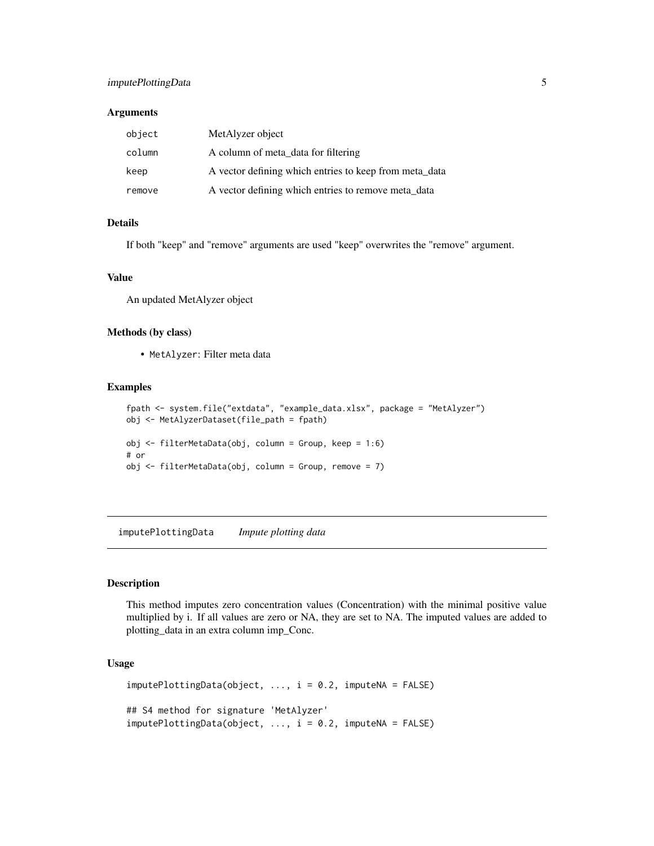# <span id="page-4-0"></span>imputePlottingData 5

#### **Arguments**

| object | MetAlyzer object                                       |
|--------|--------------------------------------------------------|
| column | A column of meta data for filtering                    |
| keep   | A vector defining which entries to keep from meta data |
| remove | A vector defining which entries to remove meta_data    |

# Details

If both "keep" and "remove" arguments are used "keep" overwrites the "remove" argument.

#### Value

An updated MetAlyzer object

#### Methods (by class)

• MetAlyzer: Filter meta data

# Examples

```
fpath <- system.file("extdata", "example_data.xlsx", package = "MetAlyzer")
obj <- MetAlyzerDataset(file_path = fpath)
obj <- filterMetaData(obj, column = Group, keep = 1:6)
# or
obj \le filterMetaData(obj, column = Group, remove = 7)
```
imputePlottingData *Impute plotting data*

# Description

This method imputes zero concentration values (Concentration) with the minimal positive value multiplied by i. If all values are zero or NA, they are set to NA. The imputed values are added to plotting\_data in an extra column imp\_Conc.

```
imputePlottingData(object, ..., i = 0.2, imputeNA = FALSE)## S4 method for signature 'MetAlyzer'
imputePlottingData(object, ..., i = 0.2, imputeNA = FALSE)
```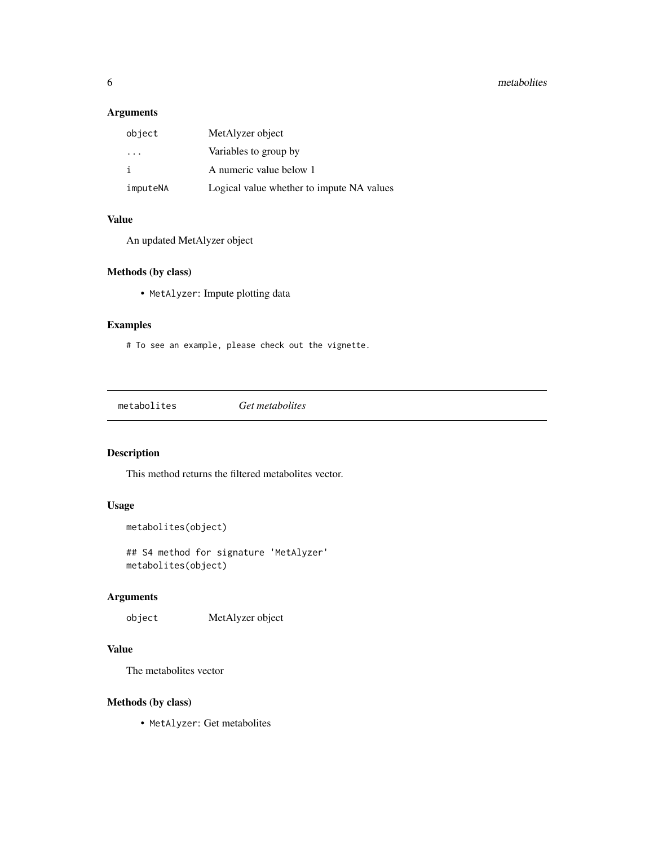#### <span id="page-5-0"></span>6 metabolites and the contract of the contract of the contract of the contract of the contract of the contract of the contract of the contract of the contract of the contract of the contract of the contract of the contract

# Arguments

| object                  | MetAlyzer object                          |
|-------------------------|-------------------------------------------|
| $\cdot$ $\cdot$ $\cdot$ | Variables to group by                     |
|                         | A numeric value below 1                   |
| imputeNA                | Logical value whether to impute NA values |

# Value

An updated MetAlyzer object

# Methods (by class)

• MetAlyzer: Impute plotting data

# Examples

# To see an example, please check out the vignette.

metabolites *Get metabolites*

# Description

This method returns the filtered metabolites vector.

# Usage

```
metabolites(object)
```
## S4 method for signature 'MetAlyzer' metabolites(object)

# Arguments

object MetAlyzer object

# Value

The metabolites vector

# Methods (by class)

• MetAlyzer: Get metabolites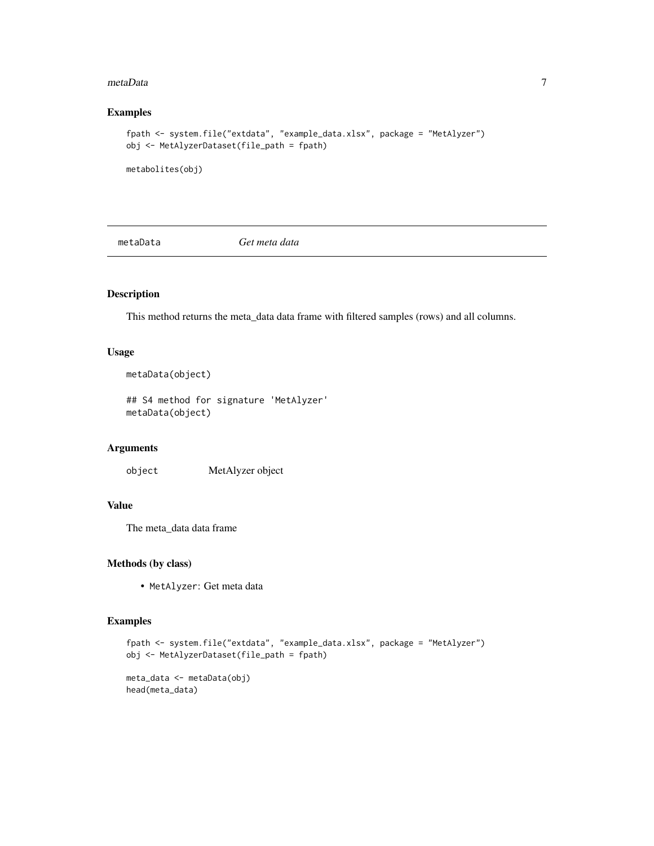#### <span id="page-6-0"></span>metaData 7

# Examples

```
fpath <- system.file("extdata", "example_data.xlsx", package = "MetAlyzer")
obj <- MetAlyzerDataset(file_path = fpath)
```
metabolites(obj)

metaData *Get meta data*

# Description

This method returns the meta\_data data frame with filtered samples (rows) and all columns.

#### Usage

```
metaData(object)
```
## S4 method for signature 'MetAlyzer' metaData(object)

#### Arguments

object MetAlyzer object

# Value

The meta\_data data frame

# Methods (by class)

• MetAlyzer: Get meta data

```
fpath <- system.file("extdata", "example_data.xlsx", package = "MetAlyzer")
obj <- MetAlyzerDataset(file_path = fpath)
meta_data <- metaData(obj)
head(meta_data)
```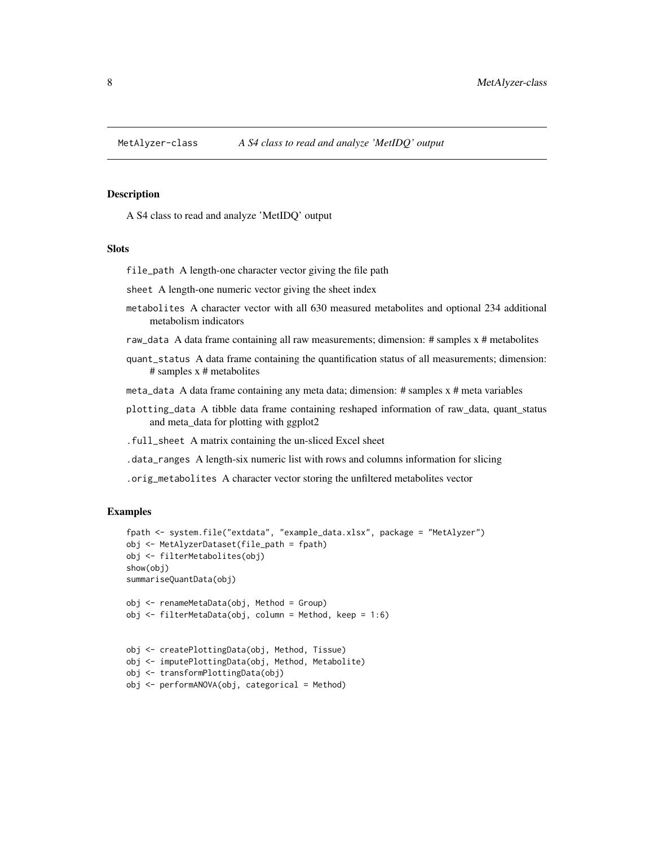<span id="page-7-0"></span>

#### Description

A S4 class to read and analyze 'MetIDQ' output

#### **Slots**

file\_path A length-one character vector giving the file path

sheet A length-one numeric vector giving the sheet index

- metabolites A character vector with all 630 measured metabolites and optional 234 additional metabolism indicators
- raw\_data A data frame containing all raw measurements; dimension: # samples x # metabolites
- quant\_status A data frame containing the quantification status of all measurements; dimension: # samples x # metabolites
- meta\_data A data frame containing any meta data; dimension: # samples x # meta variables
- plotting\_data A tibble data frame containing reshaped information of raw\_data, quant\_status and meta\_data for plotting with ggplot2
- .full\_sheet A matrix containing the un-sliced Excel sheet
- .data\_ranges A length-six numeric list with rows and columns information for slicing

.orig\_metabolites A character vector storing the unfiltered metabolites vector

```
fpath <- system.file("extdata", "example_data.xlsx", package = "MetAlyzer")
obj <- MetAlyzerDataset(file_path = fpath)
obj <- filterMetabolites(obj)
show(obj)
summariseQuantData(obj)
obj <- renameMetaData(obj, Method = Group)
obj <- filterMetaData(obj, column = Method, keep = 1:6)
obj <- createPlottingData(obj, Method, Tissue)
obj <- imputePlottingData(obj, Method, Metabolite)
obj <- transformPlottingData(obj)
obj <- performANOVA(obj, categorical = Method)
```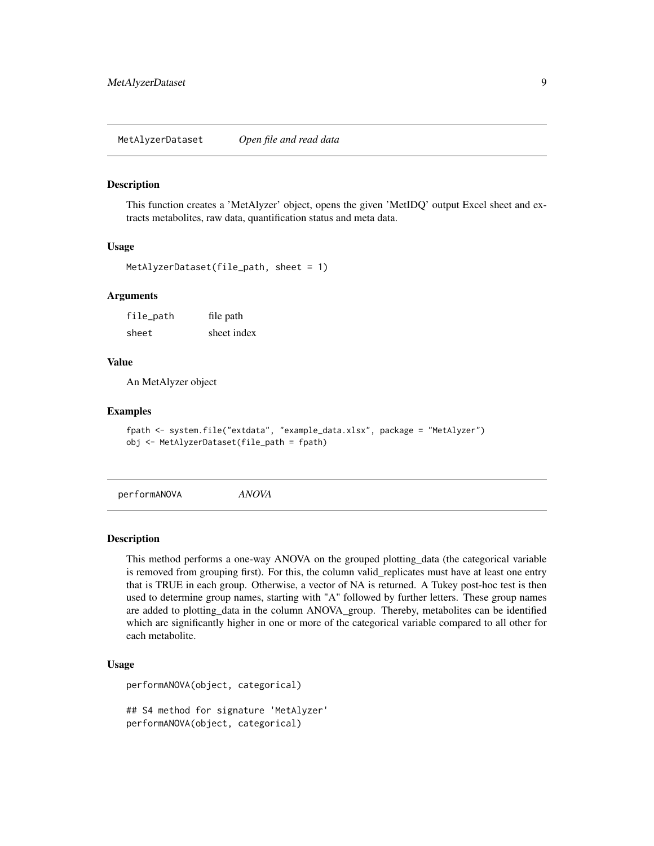<span id="page-8-0"></span>MetAlyzerDataset *Open file and read data*

#### **Description**

This function creates a 'MetAlyzer' object, opens the given 'MetIDQ' output Excel sheet and extracts metabolites, raw data, quantification status and meta data.

#### Usage

```
MetAlyzerDataset(file_path, sheet = 1)
```
#### Arguments

file\_path file path sheet sheet index

# Value

An MetAlyzer object

#### Examples

```
fpath <- system.file("extdata", "example_data.xlsx", package = "MetAlyzer")
obj <- MetAlyzerDataset(file_path = fpath)
```
performANOVA *ANOVA*

#### Description

This method performs a one-way ANOVA on the grouped plotting\_data (the categorical variable is removed from grouping first). For this, the column valid replicates must have at least one entry that is TRUE in each group. Otherwise, a vector of NA is returned. A Tukey post-hoc test is then used to determine group names, starting with "A" followed by further letters. These group names are added to plotting\_data in the column ANOVA\_group. Thereby, metabolites can be identified which are significantly higher in one or more of the categorical variable compared to all other for each metabolite.

#### Usage

```
performANOVA(object, categorical)
```
## S4 method for signature 'MetAlyzer' performANOVA(object, categorical)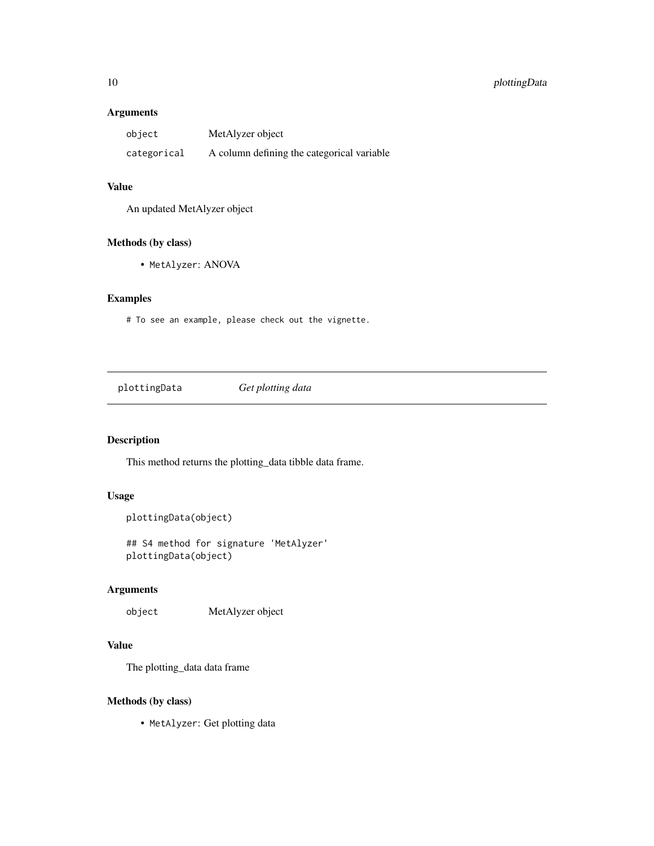# <span id="page-9-0"></span>10 plottingData

#### Arguments

| object      | MetAlyzer object                           |
|-------------|--------------------------------------------|
| categorical | A column defining the categorical variable |

# Value

An updated MetAlyzer object

# Methods (by class)

• MetAlyzer: ANOVA

# Examples

# To see an example, please check out the vignette.

plottingData *Get plotting data*

# Description

This method returns the plotting\_data tibble data frame.

# Usage

```
plottingData(object)
```
## S4 method for signature 'MetAlyzer' plottingData(object)

# Arguments

object MetAlyzer object

# Value

The plotting\_data data frame

#### Methods (by class)

• MetAlyzer: Get plotting data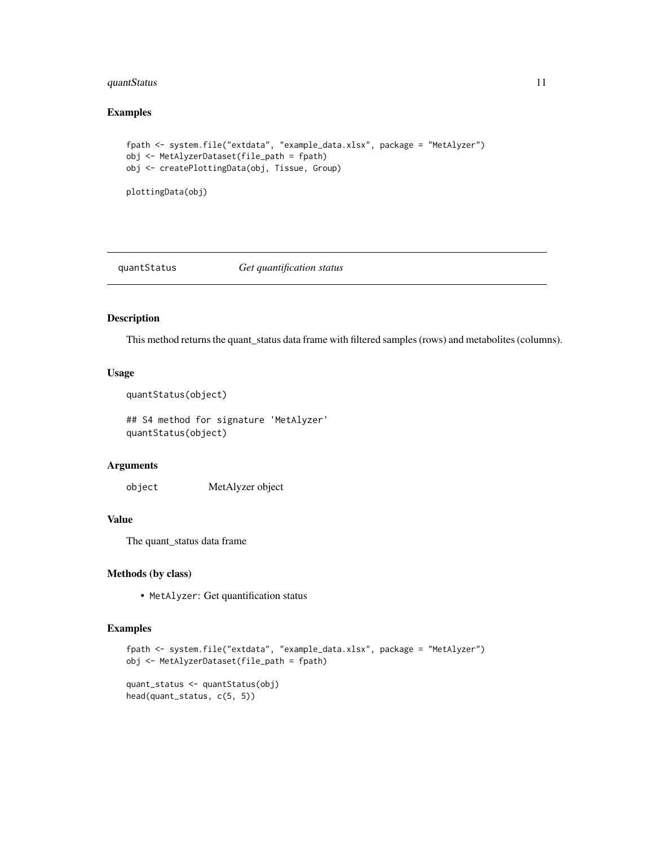# <span id="page-10-0"></span>quantStatus 11

# Examples

```
fpath <- system.file("extdata", "example_data.xlsx", package = "MetAlyzer")
obj <- MetAlyzerDataset(file_path = fpath)
obj <- createPlottingData(obj, Tissue, Group)
```
plottingData(obj)

#### quantStatus *Get quantification status*

#### Description

This method returns the quant\_status data frame with filtered samples (rows) and metabolites (columns).

#### Usage

```
quantStatus(object)
```
## S4 method for signature 'MetAlyzer' quantStatus(object)

# Arguments

object MetAlyzer object

# Value

The quant\_status data frame

#### Methods (by class)

• MetAlyzer: Get quantification status

```
fpath <- system.file("extdata", "example_data.xlsx", package = "MetAlyzer")
obj <- MetAlyzerDataset(file_path = fpath)
quant_status <- quantStatus(obj)
head(quant_status, c(5, 5))
```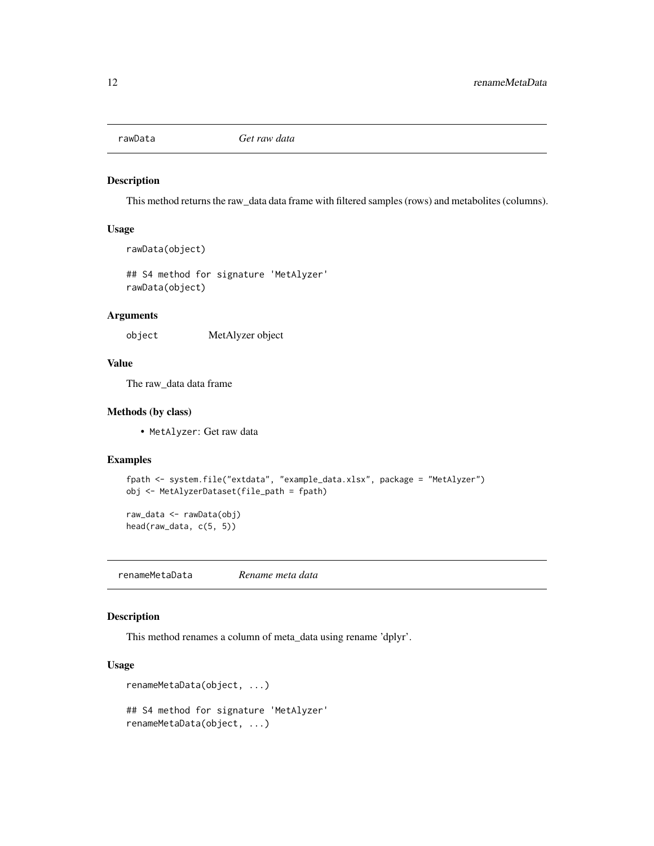<span id="page-11-0"></span>

#### Description

This method returns the raw\_data data frame with filtered samples (rows) and metabolites (columns).

# Usage

```
rawData(object)
```
## S4 method for signature 'MetAlyzer' rawData(object)

#### Arguments

object MetAlyzer object

#### Value

The raw\_data data frame

#### Methods (by class)

• MetAlyzer: Get raw data

#### Examples

```
fpath <- system.file("extdata", "example_data.xlsx", package = "MetAlyzer")
obj <- MetAlyzerDataset(file_path = fpath)
```
raw\_data <- rawData(obj) head(raw\_data, c(5, 5))

renameMetaData *Rename meta data*

# Description

This method renames a column of meta\_data using rename 'dplyr'.

```
renameMetaData(object, ...)
## S4 method for signature 'MetAlyzer'
renameMetaData(object, ...)
```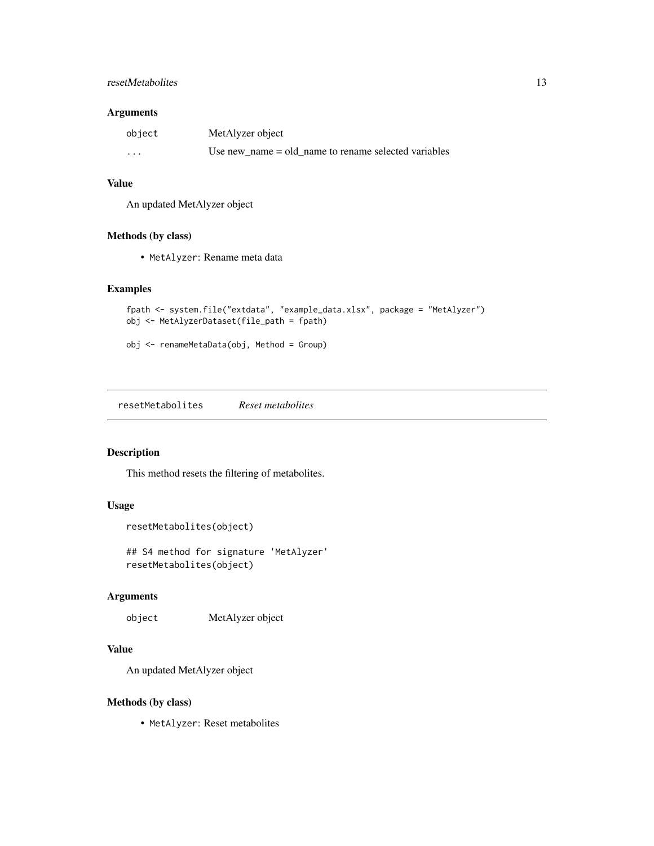#### <span id="page-12-0"></span>resetMetabolites 13

#### Arguments

| object                  | MetAlyzer object                                       |
|-------------------------|--------------------------------------------------------|
| $\cdot$ $\cdot$ $\cdot$ | Use new name $=$ old name to rename selected variables |

# Value

An updated MetAlyzer object

#### Methods (by class)

• MetAlyzer: Rename meta data

# Examples

```
fpath <- system.file("extdata", "example_data.xlsx", package = "MetAlyzer")
obj <- MetAlyzerDataset(file_path = fpath)
```
obj <- renameMetaData(obj, Method = Group)

resetMetabolites *Reset metabolites*

# Description

This method resets the filtering of metabolites.

# Usage

```
resetMetabolites(object)
```
## S4 method for signature 'MetAlyzer' resetMetabolites(object)

# Arguments

object MetAlyzer object

# Value

An updated MetAlyzer object

# Methods (by class)

• MetAlyzer: Reset metabolites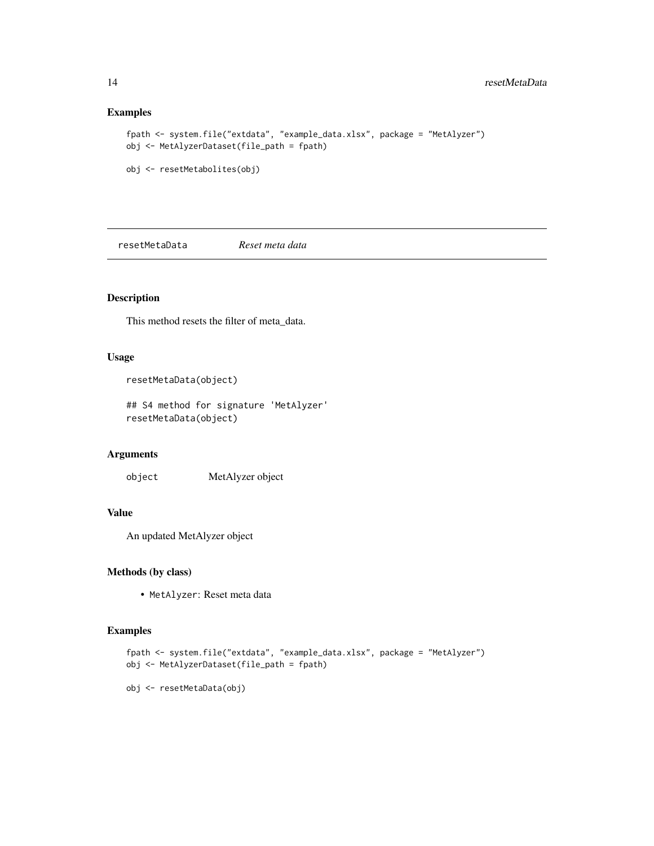### Examples

```
fpath <- system.file("extdata", "example_data.xlsx", package = "MetAlyzer")
obj <- MetAlyzerDataset(file_path = fpath)
```

```
obj <- resetMetabolites(obj)
```
resetMetaData *Reset meta data*

# Description

This method resets the filter of meta\_data.

#### Usage

```
resetMetaData(object)
```
## S4 method for signature 'MetAlyzer' resetMetaData(object)

# Arguments

object MetAlyzer object

# Value

An updated MetAlyzer object

#### Methods (by class)

• MetAlyzer: Reset meta data

```
fpath <- system.file("extdata", "example_data.xlsx", package = "MetAlyzer")
obj <- MetAlyzerDataset(file_path = fpath)
```

```
obj <- resetMetaData(obj)
```
<span id="page-13-0"></span>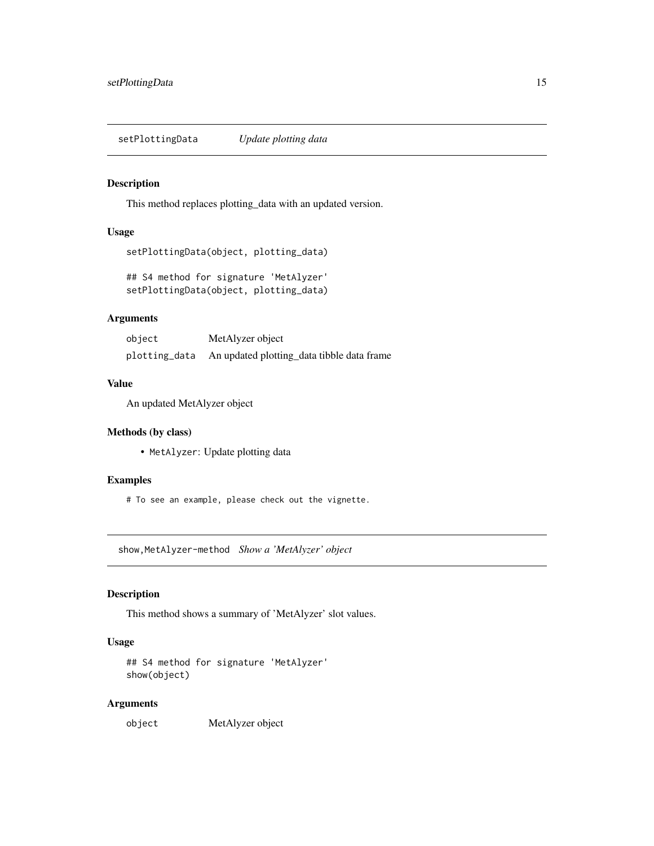<span id="page-14-0"></span>setPlottingData *Update plotting data*

# Description

This method replaces plotting\_data with an updated version.

#### Usage

```
setPlottingData(object, plotting_data)
```
## S4 method for signature 'MetAlyzer' setPlottingData(object, plotting\_data)

#### Arguments

| object        | MetAlyzer object                           |
|---------------|--------------------------------------------|
| plotting_data | An updated plotting_data tibble data frame |

#### Value

An updated MetAlyzer object

# Methods (by class)

• MetAlyzer: Update plotting data

# Examples

# To see an example, please check out the vignette.

show,MetAlyzer-method *Show a 'MetAlyzer' object*

# Description

This method shows a summary of 'MetAlyzer' slot values.

#### Usage

```
## S4 method for signature 'MetAlyzer'
show(object)
```
#### Arguments

object MetAlyzer object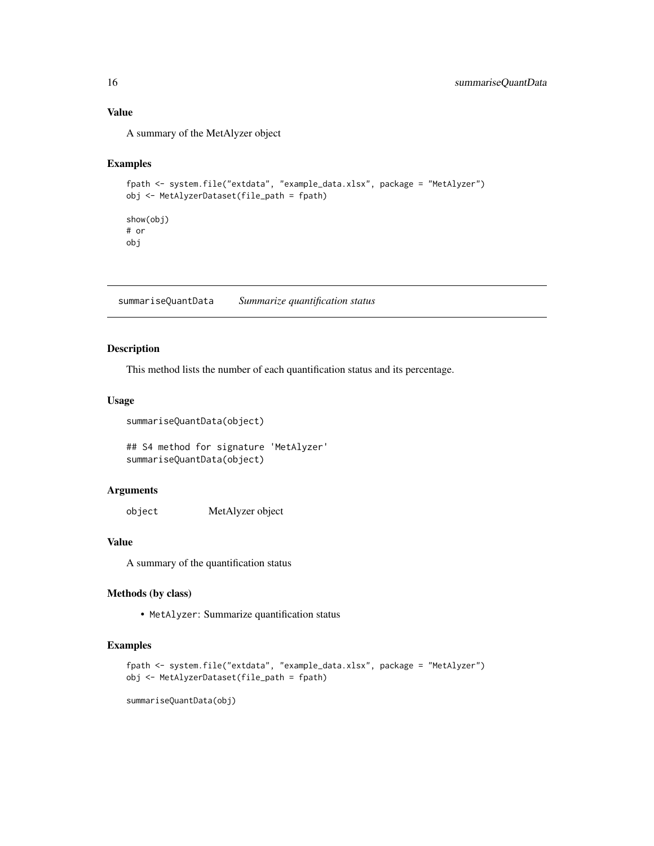### <span id="page-15-0"></span>Value

A summary of the MetAlyzer object

# Examples

```
fpath <- system.file("extdata", "example_data.xlsx", package = "MetAlyzer")
obj <- MetAlyzerDataset(file_path = fpath)
show(obj)
# or
obj
```
summariseQuantData *Summarize quantification status*

# Description

This method lists the number of each quantification status and its percentage.

#### Usage

summariseQuantData(object)

```
## S4 method for signature 'MetAlyzer'
summariseQuantData(object)
```
#### Arguments

object MetAlyzer object

# Value

A summary of the quantification status

# Methods (by class)

• MetAlyzer: Summarize quantification status

# Examples

```
fpath <- system.file("extdata", "example_data.xlsx", package = "MetAlyzer")
obj <- MetAlyzerDataset(file_path = fpath)
```
summariseQuantData(obj)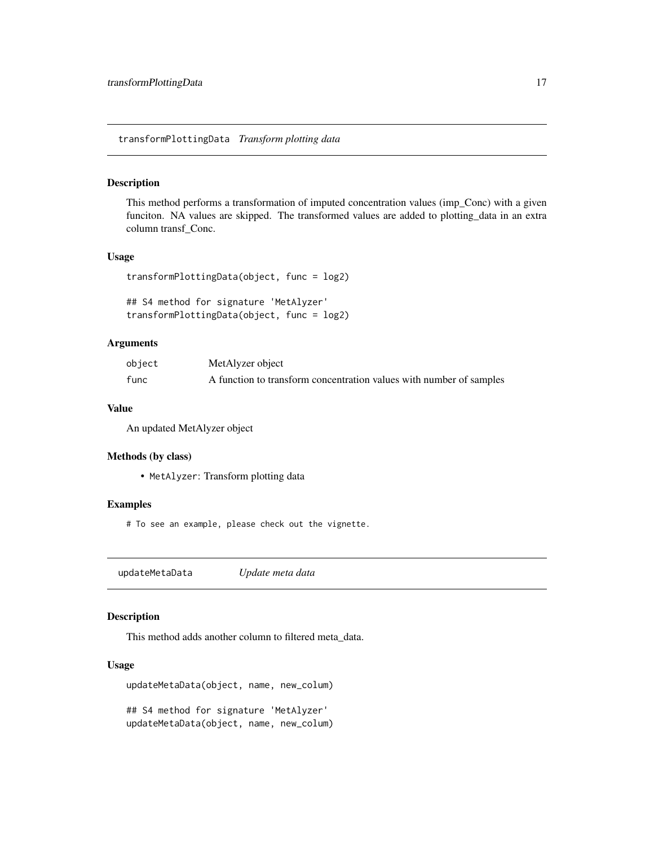<span id="page-16-0"></span>transformPlottingData *Transform plotting data*

#### Description

This method performs a transformation of imputed concentration values (imp\_Conc) with a given funciton. NA values are skipped. The transformed values are added to plotting\_data in an extra column transf\_Conc.

#### Usage

```
transformPlottingData(object, func = log2)
```

```
## S4 method for signature 'MetAlyzer'
transformPlottingData(object, func = log2)
```
#### Arguments

| object | MetAlyzer object                                                    |
|--------|---------------------------------------------------------------------|
| func   | A function to transform concentration values with number of samples |

#### Value

An updated MetAlyzer object

#### Methods (by class)

• MetAlyzer: Transform plotting data

#### Examples

# To see an example, please check out the vignette.

updateMetaData *Update meta data*

#### Description

This method adds another column to filtered meta\_data.

```
updateMetaData(object, name, new_colum)
## S4 method for signature 'MetAlyzer'
updateMetaData(object, name, new_colum)
```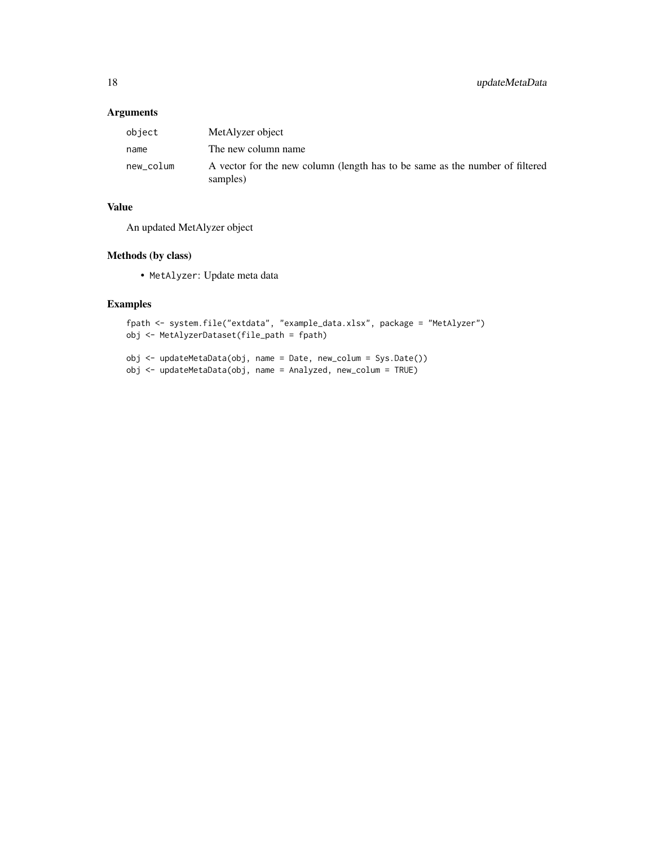# Arguments

| object    | MetAlyzer object                                                                         |
|-----------|------------------------------------------------------------------------------------------|
| name      | The new column name                                                                      |
| new_colum | A vector for the new column (length has to be same as the number of filtered<br>samples) |

# Value

An updated MetAlyzer object

# Methods (by class)

• MetAlyzer: Update meta data

```
fpath <- system.file("extdata", "example_data.xlsx", package = "MetAlyzer")
obj <- MetAlyzerDataset(file_path = fpath)
```
- obj <- updateMetaData(obj, name = Date, new\_colum = Sys.Date())
- obj <- updateMetaData(obj, name = Analyzed, new\_colum = TRUE)